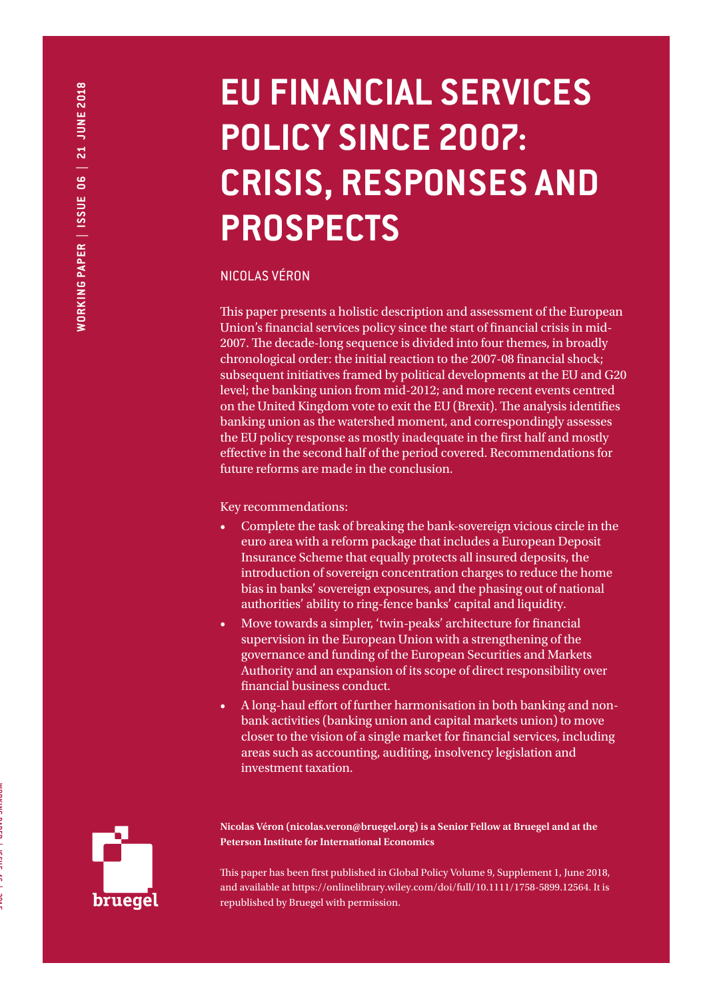# **EU FINANCIAL SERVICES POLICY SINCE 2007: CRISIS, RESPONSES AND PROSPECTS**

## NICOLAS VÉRON

This paper presents a holistic description and assessment of the European Union's financial services policy since the start of financial crisis in mid-2007. The decade-long sequence is divided into four themes, in broadly chronological order: the initial reaction to the 2007-08 financial shock; subsequent initiatives framed by political developments at the EU and G20 level; the banking union from mid-2012; and more recent events centred on the United Kingdom vote to exit the EU (Brexit). The analysis identifies banking union as the watershed moment, and correspondingly assesses the EU policy response as mostly inadequate in the first half and mostly effective in the second half of the period covered. Recommendations for future reforms are made in the conclusion.

- Key recommendations:<br>• Complete the task of breaking the bank-sovereign vicious circle in the euro area with a reform package that includes a European Deposit Insurance Scheme that equally protects all insured deposits, the introduction of sovereign concentration charges to reduce the home bias in banks' sovereign exposures, and the phasing out of national authorities' ability to ring-fence banks' capital and liquidity.
- Move towards a simpler, 'twin-peaks' architecture for financial supervision in the European Union with a strengthening of the governance and funding of the European Securities and Markets Authority and an expansion of its scope of direct responsibility over financial business conduct.
- A long-haul effort of further harmonisation in both banking and nonbank activities (banking union and capital markets union) to move closer to the vision of a single market for financial services, including areas such as accounting, auditing, insolvency legislation and investment taxation.



**Nicolas Véron (nicolas.veron@bruegel.org) is a Senior Fellow at Bruegel and at the Peterson Institute for International Economics**

This paper has been first published in Global Policy Volume 9, Supplement 1, June 2018, and available at https://onlinelibrary.wiley.com/doi/full/10.1111/1758-5899.12564. It is republished by Bruegel with permission.

**| 2015** 

**WORKING PAPER**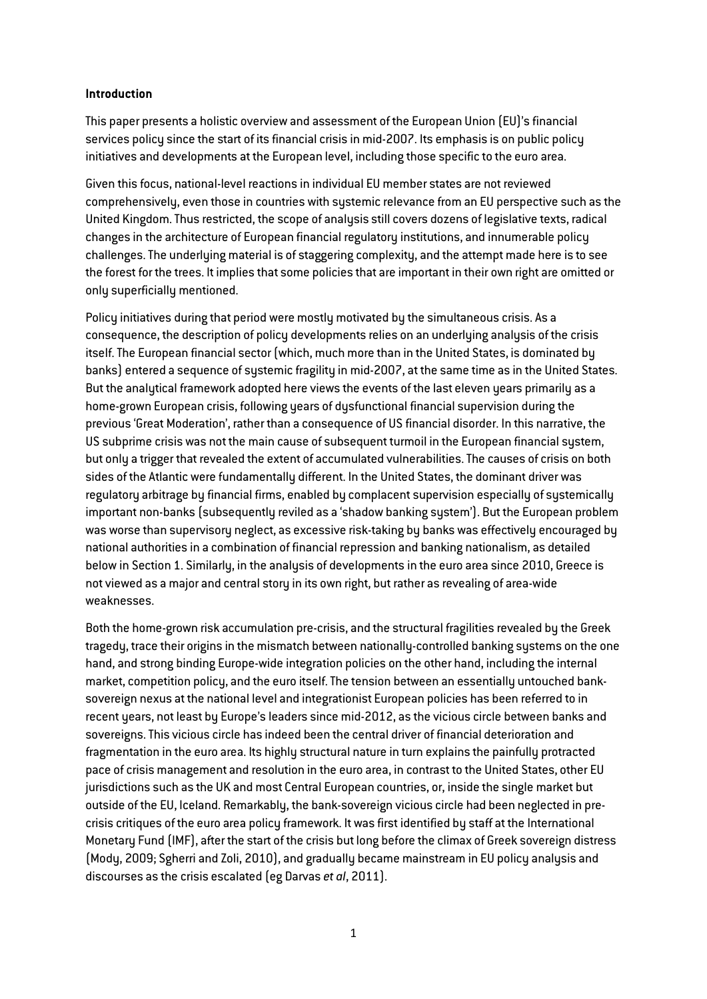#### **Introduction**

This paper presents a holistic overview and assessment of the European Union (EU)'s financial services policy since the start of its financial crisis in mid-2007. Its emphasis is on public policy initiatives and developments at the European level, including those specific to the euro area.

Given this focus, national-level reactions in individual EU member states are not reviewed comprehensively, even those in countries with systemic relevance from an EU perspective such as the United Kingdom. Thus restricted, the scope of analysis still covers dozens of legislative texts, radical changes in the architecture of European financial regulatory institutions, and innumerable policy challenges. The underlying material is of staggering complexity, and the attempt made here is to see the forest for the trees. It implies that some policies that are important in their own right are omitted or only superficially mentioned.

Policy initiatives during that period were mostly motivated by the simultaneous crisis. As a consequence, the description of policy developments relies on an underlying analysis of the crisis itself. The European financial sector (which, much more than in the United States, is dominated by banks) entered a sequence of sustemic fragility in mid-2007, at the same time as in the United States. But the analytical framework adopted here views the events of the last eleven years primarily as a home-grown European crisis, following years of dysfunctional financial supervision during the previous 'Great Moderation', rather than a consequence of US financial disorder. In this narrative, the US subprime crisis was not the main cause of subsequent turmoil in the European financial system, but only a trigger that revealed the extent of accumulated vulnerabilities. The causes of crisis on both sides of the Atlantic were fundamentally different. In the United States, the dominant driver was regulatory arbitrage by financial firms, enabled by complacent supervision especially of systemically important non-banks (subsequently reviled as a 'shadow banking system'). But the European problem was worse than supervisory neglect, as excessive risk-taking by banks was effectively encouraged by national authorities in a combination of financial repression and banking nationalism, as detailed below in Section 1. Similarly, in the analysis of developments in the euro area since 2010, Greece is not viewed as a major and central story in its own right, but rather as revealing of area-wide weaknesses.

Both the home-grown risk accumulation pre-crisis, and the structural fragilities revealed by the Greek tragedy, trace their origins in the mismatch between nationally-controlled banking systems on the one hand, and strong binding Europe-wide integration policies on the other hand, including the internal market, competition policy, and the euro itself. The tension between an essentially untouched banksovereign nexus at the national level and integrationist European policies has been referred to in recent years, not least by Europe's leaders since mid-2012, as the vicious circle between banks and sovereigns. This vicious circle has indeed been the central driver of financial deterioration and fragmentation in the euro area. Its highly structural nature in turn explains the painfully protracted pace of crisis management and resolution in the euro area, in contrast to the United States, other EU jurisdictions such as the UK and most Central European countries, or, inside the single market but outside of the EU, Iceland. Remarkably, the bank-sovereign vicious circle had been neglected in precrisis critiques of the euro area policy framework. It was first identified by staff at the International Monetary Fund (IMF), after the start of the crisis but long before the climax of Greek sovereign distress (Mody, 2009; Sgherri and Zoli, 2010), and gradually became mainstream in EU policy analysis and discourses as the crisis escalated (eg Darvas *et al*, 2011).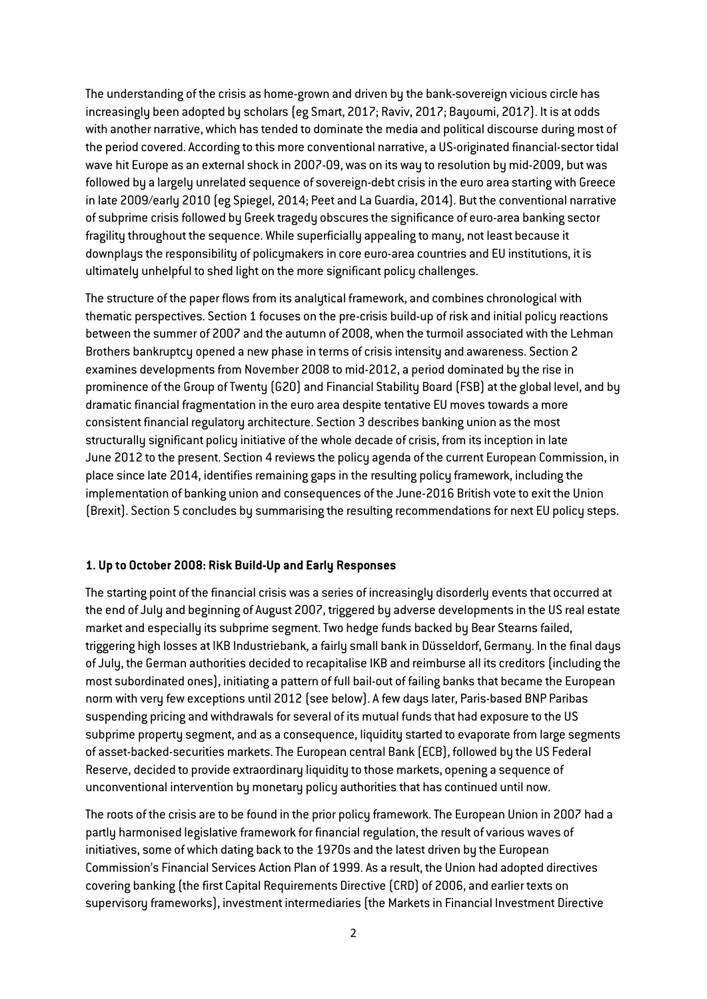The understanding of the crisis as home-grown and driven by the bank-sovereign vicious circle has increasingly been adopted by scholars (eg Smart, 2017; Raviv, 2017; Bayoumi, 2017). It is at odds with another narrative, which has tended to dominate the media and political discourse during most of the period covered. According to this more conventional narrative, a US-originated financial-sector tidal wave hit Europe as an external shock in 2007-09, was on its way to resolution by mid-2009, but was followed by a largely unrelated sequence of sovereign-debt crisis in the euro area starting with Greece in late 2009/early 2010 (eg Spiegel, 2014; Peet and La Guardia, 2014). But the conventional narrative of subprime crisis followed by Greek tragedy obscures the significance of euro-area banking sector fragility throughout the sequence. While superficially appealing to many, not least because it downplays the responsibility of policymakers in core euro-area countries and EU institutions, it is ultimately unhelpful to shed light on the more significant policy challenges.

The structure of the paper flows from its analytical framework, and combines chronological with thematic perspectives. Section 1 focuses on the pre-crisis build-up of risk and initial policy reactions between the summer of 2007 and the autumn of 2008, when the turmoil associated with the Lehman Brothers bankruptcy opened a new phase in terms of crisis intensity and awareness. Section 2 examines developments from November 2008 to mid-2012, a period dominated by the rise in prominence of the Group of Twenty (G20) and Financial Stability Board (FSB) at the global level, and by dramatic financial fragmentation in the euro area despite tentative EU moves towards a more consistent financial regulatory architecture. Section 3 describes banking union as the most structurally significant policy initiative of the whole decade of crisis, from its inception in late June 2012 to the present. Section 4 reviews the policy agenda of the current European Commission, in place since late 2014, identifies remaining gaps in the resulting policy framework, including the implementation of banking union and consequences of the June-2016 British vote to exit the Union (Brexit). Section 5 concludes by summarising the resulting recommendations for next EU policy steps.

## **1. Up to October 2008: Risk Build-Up and Early Responses**

The starting point of the financial crisis was a series of increasingly disorderly events that occurred at the end of July and beginning of August 2007, triggered by adverse developments in the US real estate market and especially its subprime segment. Two hedge funds backed by Bear Stearns failed, triggering high losses at IKB Industriebank, a fairly small bank in Düsseldorf, Germany. In the final days of July, the German authorities decided to recapitalise IKB and reimburse all its creditors (including the most subordinated ones), initiating a pattern of full bail-out of failing banks that became the European norm with very few exceptions until 2012 (see below). A few days later, Paris-based BNP Paribas suspending pricing and withdrawals for several of its mutual funds that had exposure to the US subprime property segment, and as a consequence, liquidity started to evaporate from large segments of asset-backed-securities markets. The European central Bank (ECB), followed by the US Federal Reserve, decided to provide extraordinary liquidity to those markets, opening a sequence of unconventional intervention by monetary policy authorities that has continued until now.

The roots of the crisis are to be found in the prior policy framework. The European Union in 2007 had a partly harmonised legislative framework for financial regulation, the result of various waves of initiatives, some of which dating back to the 1970s and the latest driven by the European Commission's Financial Services Action Plan of 1999. As a result, the Union had adopted directives covering banking (the first Capital Requirements Directive (CRD) of 2006, and earlier texts on supervisory frameworks), investment intermediaries (the Markets in Financial Investment Directive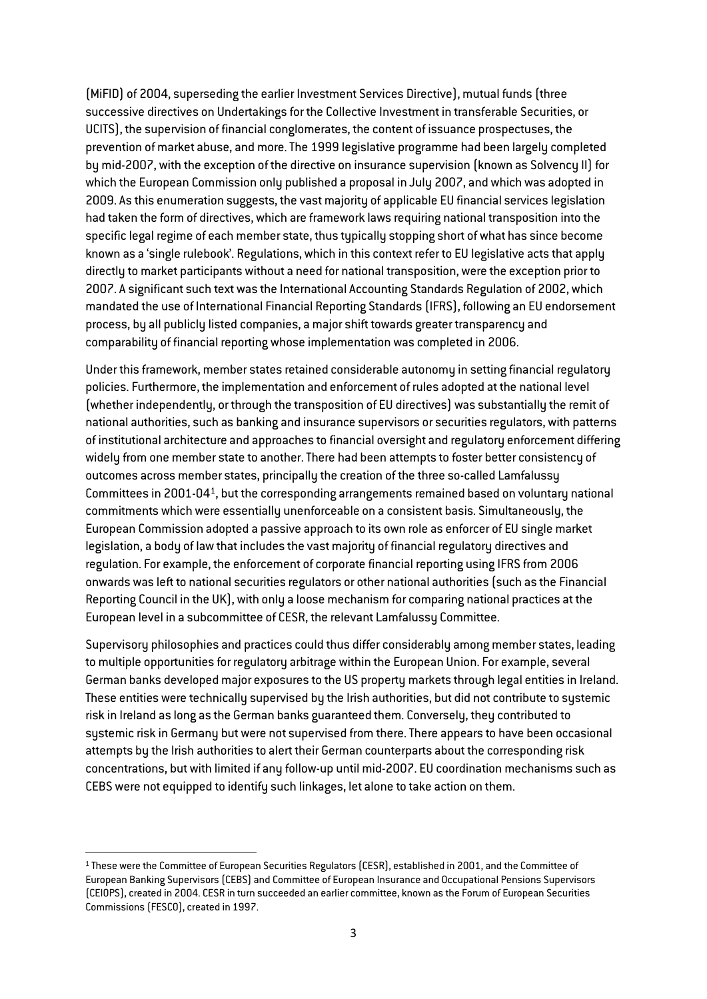(MiFID) of 2004, superseding the earlier Investment Services Directive), mutual funds (three successive directives on Undertakings for the Collective Investment in transferable Securities, or UCITS), the supervision of financial conglomerates, the content of issuance prospectuses, the prevention of market abuse, and more. The 1999 legislative programme had been largely completed by mid-2007, with the exception of the directive on insurance supervision (known as Solvency II) for which the European Commission only published a proposal in July 2007, and which was adopted in 2009. As this enumeration suggests, the vast majority of applicable EU financial services legislation had taken the form of directives, which are framework laws requiring national transposition into the specific legal regime of each member state, thus typically stopping short of what has since become known as a 'single rulebook'. Regulations, which in this context refer to EU legislative acts that apply directly to market participants without a need for national transposition, were the exception prior to 2007. A significant such text was the International Accounting Standards Regulation of 2002, which mandated the use of International Financial Reporting Standards (IFRS), following an EU endorsement process, by all publicly listed companies, a major shift towards greater transparency and comparability of financial reporting whose implementation was completed in 2006.

Under this framework, member states retained considerable autonomy in setting financial regulatory policies. Furthermore, the implementation and enforcement of rules adopted at the national level (whether independently, or through the transposition of EU directives) was substantially the remit of national authorities, such as banking and insurance supervisors or securities regulators, with patterns of institutional architecture and approaches to financial oversight and regulatory enforcement differing widely from one member state to another. There had been attempts to foster better consistency of outcomes across member states, principally the creation of the three so-called Lamfalussy Committees in 2001-0[41,](#page-3-0) but the corresponding arrangements remained based on voluntary national commitments which were essentially unenforceable on a consistent basis. Simultaneously, the European Commission adopted a passive approach to its own role as enforcer of EU single market legislation, a body of law that includes the vast majority of financial regulatory directives and regulation. For example, the enforcement of corporate financial reporting using IFRS from 2006 onwards was left to national securities regulators or other national authorities (such as the Financial Reporting Council in the UK), with only a loose mechanism for comparing national practices at the European level in a subcommittee of CESR, the relevant Lamfalussy Committee.

Supervisory philosophies and practices could thus differ considerably among member states, leading to multiple opportunities for regulatory arbitrage within the European Union. For example, several German banks developed major exposures to the US property markets through legal entities in Ireland. These entities were technically supervised by the Irish authorities, but did not contribute to systemic risk in Ireland as long as the German banks guaranteed them. Conversely, they contributed to systemic risk in Germany but were not supervised from there. There appears to have been occasional attempts by the Irish authorities to alert their German counterparts about the corresponding risk concentrations, but with limited if any follow-up until mid-2007. EU coordination mechanisms such as CEBS were not equipped to identify such linkages, let alone to take action on them.

**.** 

<span id="page-3-0"></span><sup>1</sup> These were the Committee of European Securities Regulators (CESR), established in 2001, and the Committee of European Banking Supervisors (CEBS) and Committee of European Insurance and Occupational Pensions Supervisors (CEIOPS), created in 2004. CESR in turn succeeded an earlier committee, known as the Forum of European Securities Commissions (FESCO), created in 1997.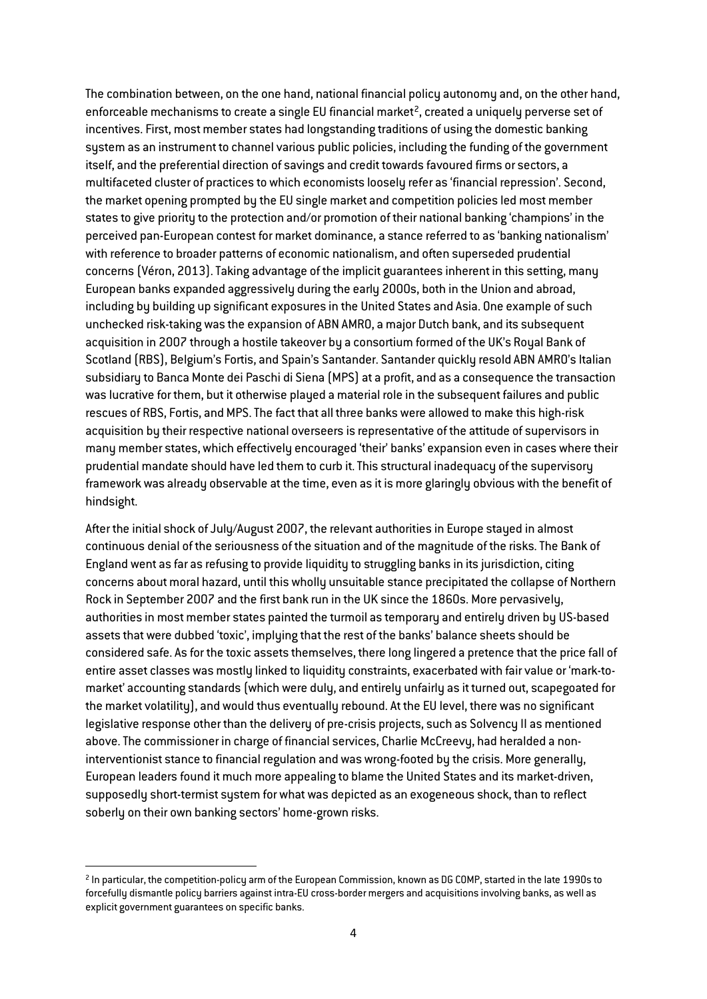The combination between, on the one hand, national financial policy autonomy and, on the other hand, enforceable mechanisms to create a single EU financial market<sup>[2](#page-4-0)</sup>, created a uniquely perverse set of incentives. First, most member states had longstanding traditions of using the domestic banking system as an instrument to channel various public policies, including the funding of the government itself, and the preferential direction of savings and credit towards favoured firms or sectors, a multifaceted cluster of practices to which economists loosely refer as 'financial repression'. Second, the market opening prompted by the EU single market and competition policies led most member states to give priority to the protection and/or promotion of their national banking 'champions' in the perceived pan-European contest for market dominance, a stance referred to as 'banking nationalism' with reference to broader patterns of economic nationalism, and often superseded prudential concerns (Véron, 2013). Taking advantage of the implicit guarantees inherent in this setting, many European banks expanded aggressively during the early 2000s, both in the Union and abroad, including by building up significant exposures in the United States and Asia. One example of such unchecked risk-taking was the expansion of ABN AMRO, a major Dutch bank, and its subsequent acquisition in 2007 through a hostile takeover by a consortium formed of the UK's Royal Bank of Scotland (RBS), Belgium's Fortis, and Spain's Santander. Santander quickly resold ABN AMRO's Italian subsidiary to Banca Monte dei Paschi di Siena (MPS) at a profit, and as a consequence the transaction was lucrative for them, but it otherwise played a material role in the subsequent failures and public rescues of RBS, Fortis, and MPS. The fact that all three banks were allowed to make this high-risk acquisition by their respective national overseers is representative of the attitude of supervisors in many member states, which effectively encouraged 'their' banks' expansion even in cases where their prudential mandate should have led them to curb it. This structural inadequacy of the supervisory framework was already observable at the time, even as it is more glaringly obvious with the benefit of hindsight.

After the initial shock of July/August 2007, the relevant authorities in Europe stayed in almost continuous denial of the seriousness of the situation and of the magnitude of the risks. The Bank of England went as far as refusing to provide liquidity to struggling banks in its jurisdiction, citing concerns about moral hazard, until this wholly unsuitable stance precipitated the collapse of Northern Rock in September 2007 and the first bank run in the UK since the 1860s. More pervasively, authorities in most member states painted the turmoil as temporary and entirely driven by US-based assets that were dubbed 'toxic', implying that the rest of the banks' balance sheets should be considered safe. As for the toxic assets themselves, there long lingered a pretence that the price fall of entire asset classes was mostly linked to liquidity constraints, exacerbated with fair value or 'mark-tomarket' accounting standards (which were duly, and entirely unfairly as it turned out, scapegoated for the market volatility), and would thus eventually rebound. At the EU level, there was no significant legislative response other than the delivery of pre-crisis projects, such as Solvency II as mentioned above. The commissioner in charge of financial services, Charlie McCreevy, had heralded a noninterventionist stance to financial regulation and was wrong-footed by the crisis. More generally, European leaders found it much more appealing to blame the United States and its market-driven, supposedly short-termist system for what was depicted as an exogeneous shock, than to reflect soberly on their own banking sectors' home-grown risks.

<span id="page-4-0"></span><sup>&</sup>lt;sup>2</sup> In particular, the competition-policy arm of the European Commission, known as DG COMP, started in the late 1990s to forcefully dismantle policy barriers against intra-EU cross-border mergers and acquisitions involving banks, as well as explicit government guarantees on specific banks.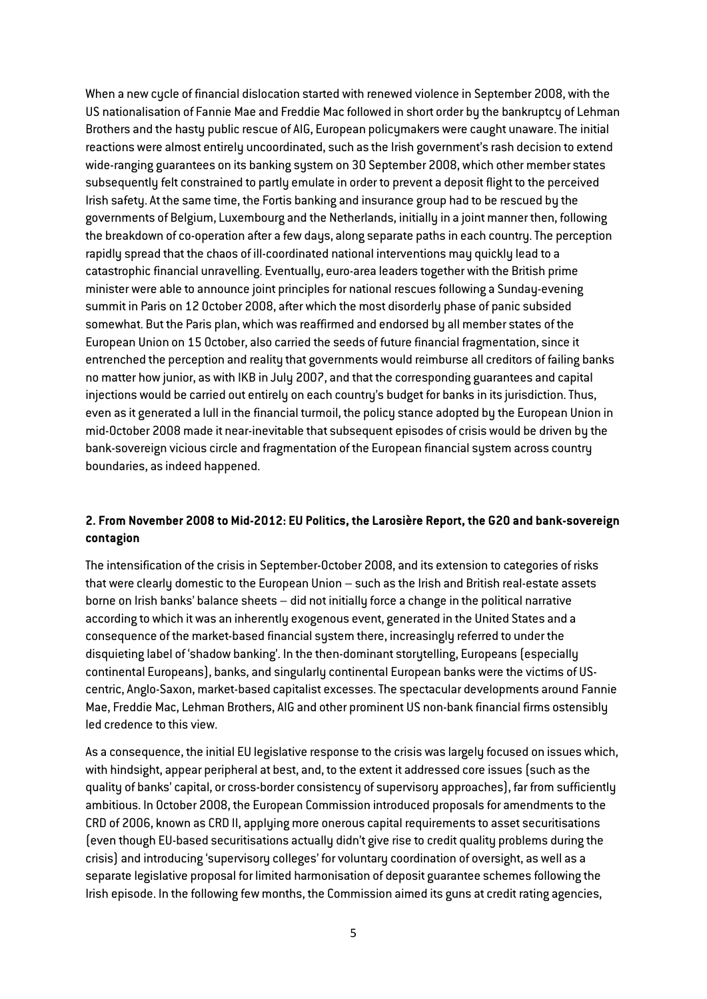When a new cycle of financial dislocation started with renewed violence in September 2008, with the US nationalisation of Fannie Mae and Freddie Mac followed in short order by the bankruptcy of Lehman Brothers and the hasty public rescue of AIG, European policymakers were caught unaware. The initial reactions were almost entirely uncoordinated, such as the Irish government's rash decision to extend wide-ranging guarantees on its banking sustem on 30 September 2008, which other member states subsequently felt constrained to partly emulate in order to prevent a deposit flight to the perceived Irish safety. At the same time, the Fortis banking and insurance group had to be rescued by the governments of Belgium, Luxembourg and the Netherlands, initially in a joint manner then, following the breakdown of co-operation after a few days, along separate paths in each country. The perception rapidly spread that the chaos of ill-coordinated national interventions may quickly lead to a catastrophic financial unravelling. Eventually, euro-area leaders together with the British prime minister were able to announce joint principles for national rescues following a Sunday-evening summit in Paris on 12 October 2008, after which the most disorderly phase of panic subsided somewhat. But the Paris plan, which was reaffirmed and endorsed by all member states of the European Union on 15 October, also carried the seeds of future financial fragmentation, since it entrenched the perception and reality that governments would reimburse all creditors of failing banks no matter how junior, as with IKB in July 2007, and that the corresponding guarantees and capital injections would be carried out entirely on each country's budget for banks in its jurisdiction. Thus, even as it generated a lull in the financial turmoil, the policy stance adopted by the European Union in mid-October 2008 made it near-inevitable that subsequent episodes of crisis would be driven by the bank-sovereign vicious circle and fragmentation of the European financial system across country boundaries, as indeed happened.

## **2. From November 2008 to Mid-2012: EU Politics, the Larosière Report, the G20 and bank-sovereign contagion**

The intensification of the crisis in September-October 2008, and its extension to categories of risks that were clearly domestic to the European Union – such as the Irish and British real-estate assets borne on Irish banks' balance sheets – did not initially force a change in the political narrative according to which it was an inherently exogenous event, generated in the United States and a consequence of the market-based financial system there, increasingly referred to under the disquieting label of 'shadow banking'. In the then-dominant storytelling, Europeans (especially continental Europeans), banks, and singularly continental European banks were the victims of UScentric, Anglo-Saxon, market-based capitalist excesses. The spectacular developments around Fannie Mae, Freddie Mac, Lehman Brothers, AIG and other prominent US non-bank financial firms ostensibly led credence to this view.

As a consequence, the initial EU legislative response to the crisis was largely focused on issues which, with hindsight, appear peripheral at best, and, to the extent it addressed core issues (such as the quality of banks' capital, or cross-border consistency of supervisory approaches), far from sufficiently ambitious. In October 2008, the European Commission introduced proposals for amendments to the CRD of 2006, known as CRD II, applying more onerous capital requirements to asset securitisations (even though EU-based securitisations actually didn't give rise to credit quality problems during the crisis) and introducing 'supervisory colleges' for voluntary coordination of oversight, as well as a separate legislative proposal for limited harmonisation of deposit guarantee schemes following the Irish episode. In the following few months, the Commission aimed its guns at credit rating agencies,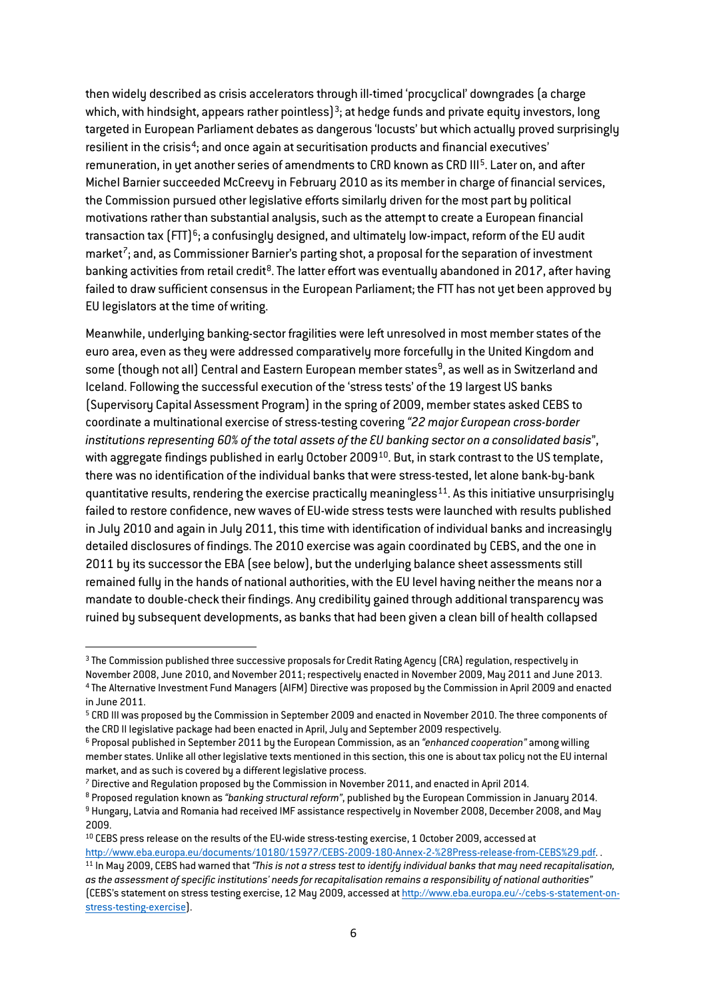then widely described as crisis accelerators through ill-timed 'procyclical' downgrades (a charge which, with hindsight, appears rather pointless)<sup>3</sup>; at hedge funds and private equity investors, long targeted in European Parliament debates as dangerous 'locusts' but which actually proved surprisingly resilient in the crisis<sup>[4](#page-6-1)</sup>; and once again at securitisation products and financial executives' remuneration, in yet another series of amendments to CRD known as CRD  $III<sup>5</sup>$  $III<sup>5</sup>$  $III<sup>5</sup>$ . Later on, and after Michel Barnier succeeded McCreevy in February 2010 as its member in charge of financial services, the Commission pursued other legislative efforts similarly driven for the most part by political motivations rather than substantial analysis, such as the attempt to create a European financial transaction tax  $[FT]^6$ ; a confusingly designed, and ultimately low-impact, reform of the EU audit market<sup>7</sup>; and, as Commissioner Barnier's parting shot, a proposal for the separation of investment banking activities from retail credit<sup>8</sup>. The latter effort was eventually abandoned in 2017, after having failed to draw sufficient consensus in the European Parliament; the FTT has not yet been approved by EU legislators at the time of writing.

Meanwhile, underlying banking-sector fragilities were left unresolved in most member states of the euro area, even as they were addressed comparatively more forcefully in the United Kingdom and some (though not all) Central and Eastern European member states<sup>9</sup>, as well as in Switzerland and Iceland. Following the successful execution of the 'stress tests' of the 19 largest US banks (Supervisory Capital Assessment Program) in the spring of 2009, member states asked CEBS to coordinate a multinational exercise of stress-testing covering *"22 major European cross-border institutions representing 60% of the total assets of the EU banking sector on a consolidated basis*", with aggregate findings published in early October 2009<sup>[10](#page-6-7)</sup>. But, in stark contrast to the US template, there was no identification of the individual banks that were stress-tested, let alone bank-by-bank quantitative results, rendering the exercise practically meaningless<sup>[11](#page-6-8)</sup>. As this initiative unsurprisingly failed to restore confidence, new waves of EU-wide stress tests were launched with results published in July 2010 and again in July 2011, this time with identification of individual banks and increasingly detailed disclosures of findings.The 2010 exercise was again coordinated by CEBS, and the one in 2011 by its successor the EBA (see below), but the underlying balance sheet assessments still remained fully in the hands of national authorities, with the EU level having neither the means nor a mandate to double-check their findings. Any credibility gained through additional transparency was ruined by subsequent developments, as banks that had been given a clean bill of health collapsed

<u>.</u>

<span id="page-6-1"></span><span id="page-6-0"></span><sup>&</sup>lt;sup>3</sup> The Commission published three successive proposals for Credit Rating Agency (CRA) regulation, respectively in November 2008, June 2010, and November 2011; respectively enacted in November 2009, May 2011 and June 2013. <sup>4</sup> The Alternative Investment Fund Managers (AIFM) Directive was proposed by the Commission in April 2009 and enacted in June 2011.

<span id="page-6-2"></span><sup>5</sup> CRD III was proposed by the Commission in September 2009 and enacted in November 2010. The three components of

<span id="page-6-3"></span>the CRD II legislative package had been enacted in April, July and September 2009 respectively.<br><sup>6</sup> Proposal published in September 2011 by the European Commission, as an *"enhanced cooperation"* among willing member states. Unlike all other legislative texts mentioned in this section, this one is about tax policy not the EU internal market, and as such is covered by a different legislative process.

<span id="page-6-6"></span><span id="page-6-5"></span><span id="page-6-4"></span><sup>&</sup>lt;sup>7</sup> Directive and Regulation proposed by the Commission in November 2011, and enacted in April 2014.<br><sup>8</sup> Proposed regulation known as *"banking structural reform"*, published by the European Commission in January 2014. <sup>9</sup> Hungary, Latvia and Romania had received IMF assistance respectively in November 2008, December 2008, and May 2009.

<span id="page-6-7"></span><sup>10</sup> CEBS press release on the results of the EU-wide stress-testing exercise, 1 October 2009, accessed at [http://www.eba.europa.eu/documents/10180/15977/CEBS-2009-180-Annex-2-%28Press-release-from-CEBS%29.pdf.](http://www.eba.europa.eu/documents/10180/15977/CEBS-2009-180-Annex-2-%28Press-release-from-CEBS%29.pdf) .

<span id="page-6-8"></span><sup>11</sup> In May 2009, CEBS had warned that *"This is not a stress test to identify individual banks that may need recapitalisation, as the assessment of specific institutions' needs for recapitalisation remains a responsibility of national authorities"* (CEBS's statement on stress testing exercise, 12 May 2009, accessed a[t http://www.eba.europa.eu/-/cebs-s-statement-on](http://www.eba.europa.eu/-/cebs-s-statement-on-stress-testing-exercise)[stress-testing-exercise\)](http://www.eba.europa.eu/-/cebs-s-statement-on-stress-testing-exercise).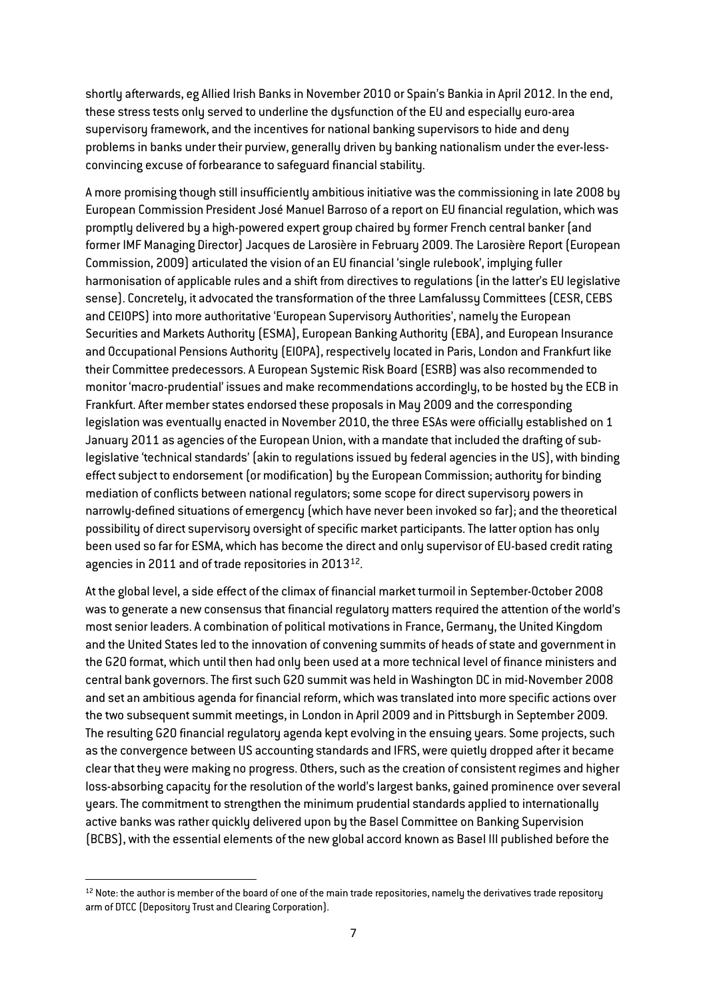shortly afterwards, eg Allied Irish Banks in November 2010 or Spain's Bankia in April 2012. In the end, these stress tests only served to underline the dysfunction of the EU and especially euro-area supervisory framework, and the incentives for national banking supervisors to hide and deny problems in banks under their purview, generally driven by banking nationalism under the ever-lessconvincing excuse of forbearance to safeguard financial stability.

A more promising though still insufficiently ambitious initiative was the commissioning in late 2008 by European Commission President José Manuel Barroso of a report on EU financial regulation, which was promptly delivered by a high-powered expert group chaired by former French central banker (and former IMF Managing Director) Jacques de Larosière in February 2009.The Larosière Report (European Commission, 2009) articulated the vision of an EU financial 'single rulebook', implying fuller harmonisation of applicable rules and a shift from directives to regulations (in the latter's EU legislative sense). Concretely, it advocated the transformation of the three Lamfalussy Committees (CESR, CEBS and CEIOPS) into more authoritative 'European Supervisory Authorities', namely the European Securities and Markets Authority (ESMA), European Banking Authority (EBA), and European Insurance and Occupational Pensions Authority (EIOPA), respectively located in Paris, London and Frankfurt like their Committee predecessors. A European Systemic Risk Board (ESRB) was also recommended to monitor 'macro-prudential' issues and make recommendations accordingly, to be hosted by the ECB in Frankfurt. After member states endorsed these proposals in May 2009 and the corresponding legislation was eventually enacted in November 2010, the three ESAs were officially established on 1 January 2011 as agencies of the European Union, with a mandate that included the drafting of sublegislative 'technical standards' (akin to regulations issued by federal agencies in the US), with binding effect subject to endorsement (or modification) by the European Commission; authority for binding mediation of conflicts between national regulators; some scope for direct supervisory powers in narrowly-defined situations of emergency (which have never been invoked so far); and the theoretical possibility of direct supervisory oversight of specific market participants. The latter option has only been used so far for ESMA, which has become the direct and only supervisor of EU-based credit rating agencies in 2011 and of trade repositories in 2013[12](#page-7-0).

At the global level, a side effect of the climax of financial market turmoil in September-October 2008 was to generate a new consensus that financial regulatory matters required the attention of the world's most senior leaders. A combination of political motivations in France, Germany, the United Kingdom and the United States led to the innovation of convening summits of heads of state and government in the G20 format, which until then had only been used at a more technical level of finance ministers and central bank governors. The first such G20 summit was held in Washington DC in mid-November 2008 and set an ambitious agenda for financial reform, which was translated into more specific actions over the two subsequent summit meetings, in London in April 2009 and in Pittsburgh in September 2009. The resulting G20 financial regulatory agenda kept evolving in the ensuing years. Some projects, such as the convergence between US accounting standards and IFRS, were quietly dropped after it became clear that they were making no progress. Others, such as the creation of consistent regimes and higher loss-absorbing capacity for the resolution of the world's largest banks, gained prominence over several years. The commitment to strengthen the minimum prudential standards applied to internationally active banks was rather quickly delivered upon by the Basel Committee on Banking Supervision (BCBS), with the essential elements of the new global accord known as Basel III published before the

<span id="page-7-0"></span> $12$  Note: the author is member of the board of one of the main trade repositories, namely the derivatives trade repository arm of DTCC (Depository Trust and Clearing Corporation).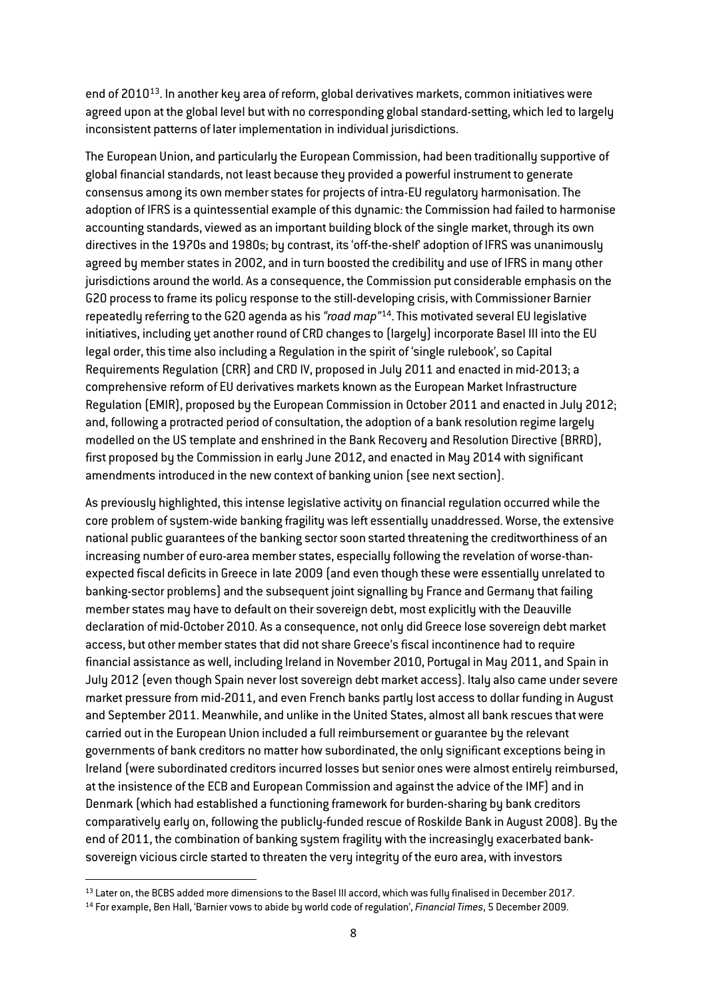end of 2010<sup>13</sup>. In another key area of reform, global derivatives markets, common initiatives were agreed upon at the global level but with no corresponding global standard-setting, which led to largely inconsistent patterns of later implementation in individual jurisdictions.

The European Union, and particularly the European Commission, had been traditionally supportive of global financial standards, not least because they provided a powerful instrument to generate consensus among its own member states for projects of intra-EU regulatory harmonisation. The adoption of IFRS is a quintessential example of this dynamic: the Commission had failed to harmonise accounting standards, viewed as an important building block of the single market, through its own directives in the 1970s and 1980s; by contrast, its 'off-the-shelf' adoption of IFRS was unanimously agreed by member states in 2002, and in turn boosted the credibility and use of IFRS in many other jurisdictions around the world. As a consequence, the Commission put considerable emphasis on the G20 process to frame its policy response to the still-developing crisis, with Commissioner Barnier repeatedly referring to the G20 agenda as his *"road map"*[14.](#page-8-1)This motivated several EU legislative initiatives, including yet another round of CRD changes to (largely) incorporate Basel III into the EU legal order, this time also including a Regulation in the spirit of 'single rulebook', so Capital Requirements Regulation (CRR) and CRD IV, proposed in July 2011 and enacted in mid-2013; a comprehensive reform of EU derivatives markets known as the European Market Infrastructure Regulation (EMIR), proposed by the European Commission in October 2011 and enacted in July 2012; and, following a protracted period of consultation, the adoption of a bank resolution regime largely modelled on the US template and enshrined in the Bank Recovery and Resolution Directive (BRRD), first proposed by the Commission in early June 2012, and enacted in May 2014 with significant amendments introduced in the new context of banking union (see next section).

As previously highlighted, this intense legislative activity on financial regulation occurred while the core problem of system-wide banking fragility was left essentially unaddressed. Worse, the extensive national public guarantees of the banking sector soon started threatening the creditworthiness of an increasing number of euro-area member states, especially following the revelation of worse-thanexpected fiscal deficits in Greece in late 2009 (and even though these were essentially unrelated to banking-sector problems) and the subsequent joint signalling by France and Germany that failing member states may have to default on their sovereign debt, most explicitly with the Deauville declaration of mid-October 2010. As a consequence, not only did Greece lose sovereign debt market access, but other member states that did not share Greece's fiscal incontinence had to require financial assistance as well, including Ireland in November 2010, Portugal in May 2011, and Spain in July 2012 (even though Spain never lost sovereign debt market access). Italy also came under severe market pressure from mid-2011, and even French banks partly lost access to dollar funding in August and September 2011. Meanwhile, and unlike in the United States, almost all bank rescues that were carried out in the European Union included a full reimbursement or guarantee by the relevant governments of bank creditors no matter how subordinated, the only significant exceptions being in Ireland (were subordinated creditors incurred losses but senior ones were almost entirely reimbursed, at the insistence of the ECB and European Commission and against the advice of the IMF) and in Denmark (which had established a functioning framework for burden-sharing by bank creditors comparatively early on, following the publicly-funded rescue of Roskilde Bank in August 2008). By the end of 2011, the combination of banking system fragility with the increasingly exacerbated banksovereign vicious circle started to threaten the very integrity of the euro area, with investors

<span id="page-8-0"></span> $^{13}$  Later on, the BCBS added more dimensions to the Basel III accord, which was fully finalised in December 2017.<br><sup>14</sup> For example, Ben Hall, 'Barnier vows to abide by world code of regulation', *Financial Times*, 5 De

<span id="page-8-1"></span>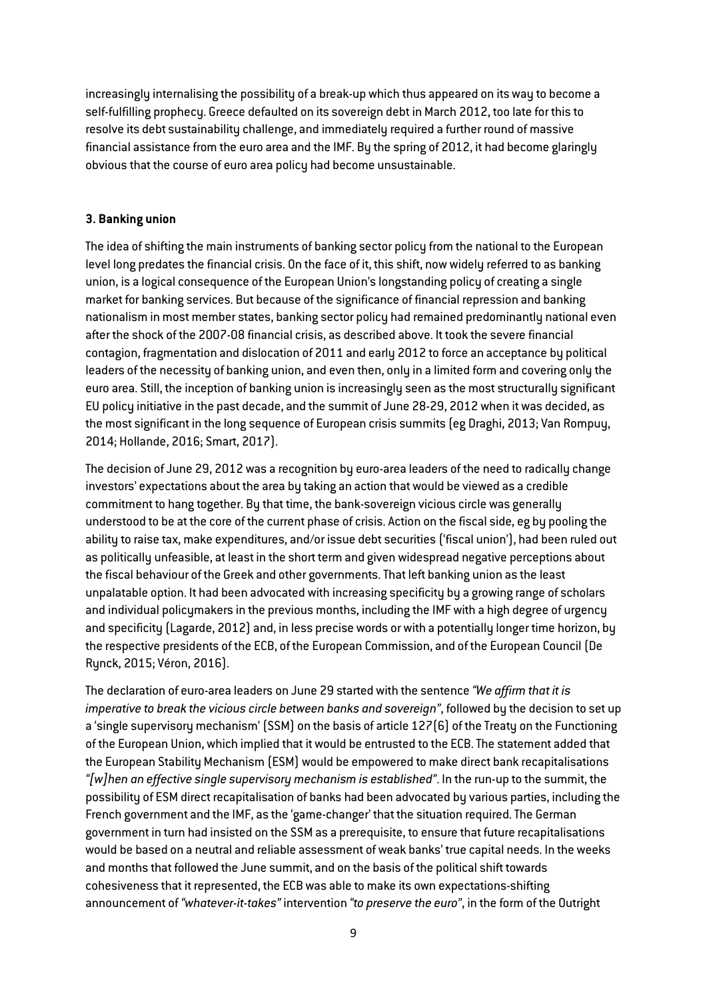increasingly internalising the possibility of a break-up which thus appeared on its way to become a self-fulfilling prophecy. Greece defaulted on its sovereign debt in March 2012, too late for this to resolve its debt sustainability challenge, and immediately required a further round of massive financial assistance from the euro area and the IMF. By the spring of 2012, it had become glaringly obvious that the course of euro area policy had become unsustainable.

#### **3. Banking union**

The idea of shifting the main instruments of banking sector policy from the national to the European level long predates the financial crisis. On the face of it, this shift, now widely referred to as banking union, is a logical consequence of the European Union's longstanding policy of creating a single market for banking services. But because of the significance of financial repression and banking nationalism in most member states, banking sector policy had remained predominantly national even after the shock of the 2007-08 financial crisis, as described above. It took the severe financial contagion, fragmentation and dislocation of 2011 and early 2012 to force an acceptance by political leaders of the necessity of banking union, and even then, only in a limited form and covering only the euro area. Still, the inception of banking union is increasingly seen as the most structurally significant EU policy initiative in the past decade, and the summit of June 28-29, 2012 when it was decided, as the most significant in the long sequence of European crisis summits (eg Draghi, 2013; Van Rompuy, 2014; Hollande, 2016; Smart, 2017).

The decision of June 29, 2012 was a recognition by euro-area leaders of the need to radically change investors' expectations about the area by taking an action that would be viewed as a credible commitment to hang together. By that time, the bank-sovereign vicious circle was generally understood to be at the core of the current phase of crisis. Action on the fiscal side, eg by pooling the ability to raise tax, make expenditures, and/or issue debt securities ('fiscal union'), had been ruled out as politically unfeasible, at least in the short term and given widespread negative perceptions about the fiscal behaviour of the Greek and other governments. That left banking union as the least unpalatable option. It had been advocated with increasing specificity by a growing range of scholars and individual policymakers in the previous months, including the IMF with a high degree of urgency and specificity (Lagarde, 2012) and, in less precise words or with a potentially longer time horizon, by the respective presidents of the ECB, of the European Commission, and of the European Council (De Rynck, 2015; Véron, 2016).

The declaration of euro-area leaders on June 29 started with the sentence *"We affirm that it is imperative to break the vicious circle between banks and sovereign"*, followed by the decision to set up a 'single supervisory mechanism' (SSM) on the basis of article 127(6) of the Treaty on the Functioning of the European Union, which implied that it would be entrusted to the ECB. The statement added that the European Stability Mechanism (ESM) would be empowered to make direct bank recapitalisations *"[w]hen an effective single supervisory mechanism is established"*. In the run-up to the summit, the possibility of ESM direct recapitalisation of banks had been advocated by various parties, including the French government and the IMF, as the 'game-changer' that the situation required. The German government in turn had insisted on the SSM as a prerequisite, to ensure that future recapitalisations would be based on a neutral and reliable assessment of weak banks' true capital needs. In the weeks and months that followed the June summit, and on the basis of the political shift towards cohesiveness that it represented, the ECB was able to make its own expectations-shifting announcement of *"whatever-it-takes"* intervention *"to preserve the euro"*, in the form of the Outright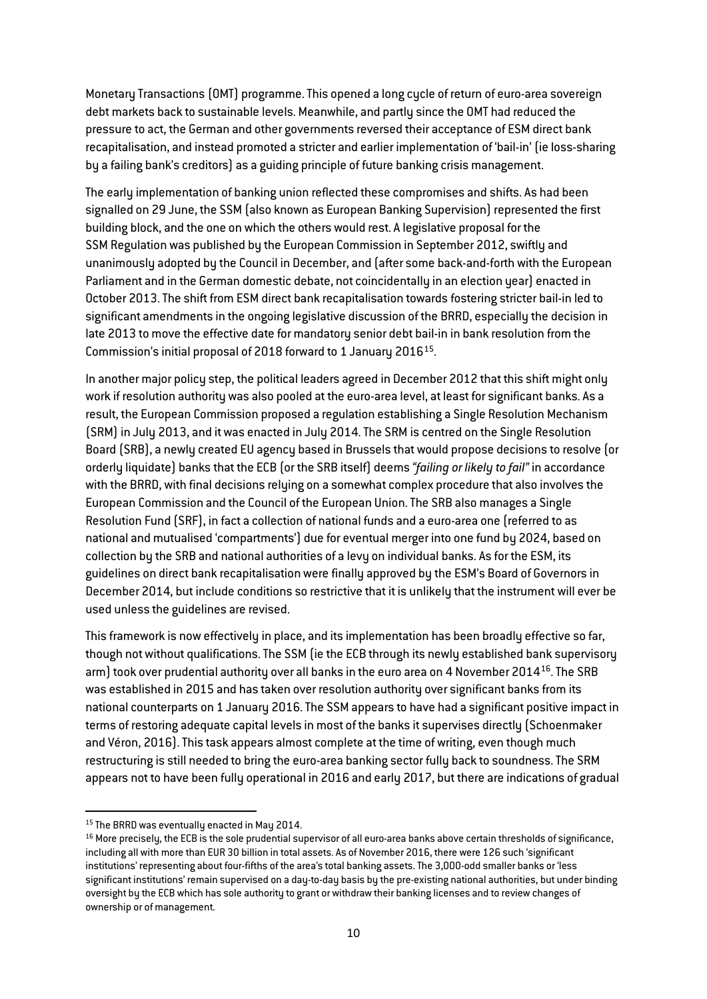Monetary Transactions (OMT) programme. This opened a long cycle of return of euro-area sovereign debt markets back to sustainable levels. Meanwhile, and partly since the OMT had reduced the pressure to act, the German and other governments reversed their acceptance of ESM direct bank recapitalisation, and instead promoted a stricter and earlier implementation of 'bail-in' (ie loss-sharing by a failing bank's creditors) as a guiding principle of future banking crisis management.

The early implementation of banking union reflected these compromises and shifts. As had been signalled on 29 June, the SSM (also known as European Banking Supervision) represented the first building block, and the one on which the others would rest. A legislative proposal for the SSM Regulation was published by the European Commission in September 2012, swiftly and unanimously adopted by the Council in December, and (after some back-and-forth with the European Parliament and in the German domestic debate, not coincidentally in an election year) enacted in October 2013. The shift from ESM direct bank recapitalisation towards fostering stricter bail-in led to significant amendments in the ongoing legislative discussion of the BRRD, especially the decision in late 2013 to move the effective date for mandatory senior debt bail-in in bank resolution from the Commission's initial proposal of 2018 forward to 1 January 2016[15.](#page-10-0)

In another major policy step, the political leaders agreed in December 2012 that this shift might only work if resolution authority was also pooled at the euro-area level, at least for significant banks. As a result, the European Commission proposed a regulation establishing a Single Resolution Mechanism (SRM) in July 2013, and it was enacted in July 2014. The SRM is centred on the Single Resolution Board (SRB), a newly created EU agency based in Brussels that would propose decisions to resolve (or orderly liquidate) banks that the ECB (or the SRB itself) deems *"failing or likely to fail"* in accordance with the BRRD, with final decisions relying on a somewhat complex procedure that also involves the European Commission and the Council of the European Union. The SRB also manages a Single Resolution Fund (SRF), in fact a collection of national funds and a euro-area one (referred to as national and mutualised 'compartments') due for eventual merger into one fund by 2024, based on collection by the SRB and national authorities of a levy on individual banks. As for the ESM, its guidelines on direct bank recapitalisation were finally approved by the ESM's Board of Governors in December 2014, but include conditions so restrictive that it is unlikely that the instrument will ever be used unless the guidelines are revised.

This framework is now effectively in place, and its implementation has been broadly effective so far, though not without qualifications. The SSM (ie the ECB through its newly established bank supervisory arm) took over prudential authority over all banks in the euro area on 4 November 2014<sup>16</sup>. The SRB was established in 2015 and has taken over resolution authority over significant banks from its national counterparts on 1 January 2016. The SSM appears to have had a significant positive impact in terms of restoring adequate capital levels in most of the banks it supervises directly (Schoenmaker and Véron, 2016). This task appears almost complete at the time of writing, even though much restructuring is still needed to bring the euro-area banking sector fully back to soundness. The SRM appears not to have been fully operational in 2016 and early 2017, but there are indications of gradual

<span id="page-10-0"></span><sup>15</sup> The BRRD was eventually enacted in May 2014.

<span id="page-10-1"></span><sup>&</sup>lt;sup>16</sup> More precisely, the ECB is the sole prudential supervisor of all euro-area banks above certain thresholds of significance, including all with more than EUR 30 billion in total assets. As of November 2016, there were 126 such 'significant institutions' representing about four-fifths of the area's total banking assets. The 3,000-odd smaller banks or 'less significant institutions' remain supervised on a day-to-day basis by the pre-existing national authorities, but under binding oversight by the ECB which has sole authority to grant or withdraw their banking licenses and to review changes of ownership or of management.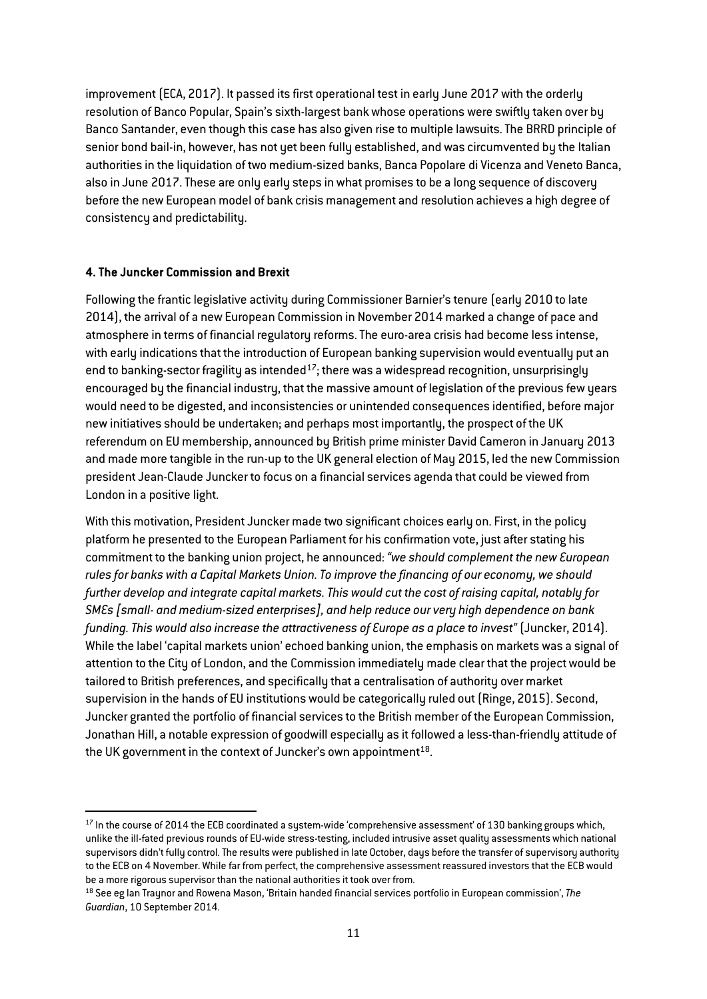improvement (ECA, 2017). It passed its first operational test in early June 2017 with the orderly resolution of Banco Popular, Spain's sixth-largest bank whose operations were swiftly taken over by Banco Santander, even though this case has also given rise to multiple lawsuits. The BRRD principle of senior bond bail-in, however, has not yet been fully established, and was circumvented by the Italian authorities in the liquidation of two medium-sized banks, Banca Popolare di Vicenza and Veneto Banca, also in June 2017. These are only early steps in what promises to be a long sequence of discovery before the new European model of bank crisis management and resolution achieves a high degree of consistency and predictability.

#### **4. The Juncker Commission and Brexit**

 $\overline{a}$ 

Following the frantic legislative activity during Commissioner Barnier's tenure (early 2010 to late 2014), the arrival of a new European Commission in November 2014 marked a change of pace and atmosphere in terms of financial regulatory reforms. The euro-area crisis had become less intense, with early indications that the introduction of European banking supervision would eventually put an end to banking-sector fragility as intended<sup>17</sup>; there was a widespread recognition, unsurprisingly encouraged by the financial industry, that the massive amount of legislation of the previous few years would need to be digested, and inconsistencies or unintended consequences identified, before major new initiatives should be undertaken; and perhaps most importantly, the prospect of the UK referendum on EU membership, announced by British prime minister David Cameron in January 2013 and made more tangible in the run-up to the UK general election of May 2015, led the new Commission president Jean-Claude Juncker to focus on a financial services agenda that could be viewed from London in a positive light.

With this motivation, President Juncker made two significant choices early on. First, in the policy platform he presented to the European Parliament for his confirmation vote, just after stating his commitment to the banking union project, he announced: *"we should complement the new European rules for banks with a Capital Markets Union. To improve the financing of our economy, we should further develop and integrate capital markets. This would cut the cost of raising capital, notably for SMEs [small- and medium-sized enterprises], and help reduce our very high dependence on bank funding. This would also increase the attractiveness of Europe as a place to invest"* (Juncker, 2014). While the label 'capital markets union' echoed banking union, the emphasis on markets was a signal of attention to the City of London, and the Commission immediately made clear that the project would be tailored to British preferences, and specifically that a centralisation of authority over market supervision in the hands of EU institutions would be categorically ruled out (Ringe, 2015). Second, Juncker granted the portfolio of financial services to the British member of the European Commission, Jonathan Hill, a notable expression of goodwill especially as it followed a less-than-friendly attitude of the UK government in the context of Juncker's own appointment<sup>[18](#page-11-1)</sup>.

<span id="page-11-0"></span><sup>&</sup>lt;sup>17</sup> In the course of 2014 the ECB coordinated a system-wide 'comprehensive assessment' of 130 banking groups which, unlike the ill-fated previous rounds of EU-wide stress-testing, included intrusive asset quality assessments which national supervisors didn't fully control. The results were published in late October, days before the transfer of supervisory authority to the ECB on 4 November. While far from perfect, the comprehensive assessment reassured investors that the ECB would be a more rigorous supervisor than the national authorities it took over from.<br><sup>18</sup> See eg Ian Traunor and Rowena Mason, 'Britain handed financial services portfolio in European commission', *The* 

<span id="page-11-1"></span>*Guardian*, 10 September 2014.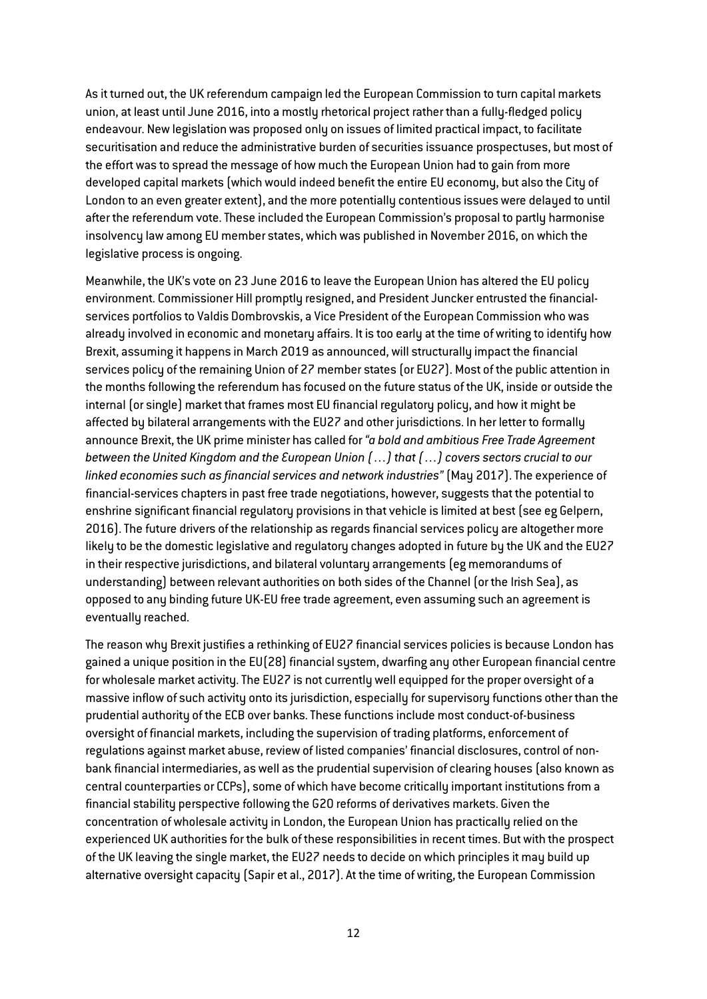As it turned out, the UK referendum campaign led the European Commission to turn capital markets union, at least until June 2016, into a mostly rhetorical project rather than a fully-fledged policy endeavour. New legislation was proposed only on issues of limited practical impact, to facilitate securitisation and reduce the administrative burden of securities issuance prospectuses, but most of the effort was to spread the message of how much the European Union had to gain from more developed capital markets (which would indeed benefit the entire EU economy, but also the City of London to an even greater extent), and the more potentially contentious issues were delayed to until after the referendum vote. These included the European Commission's proposal to partly harmonise insolvency law among EU member states, which was published in November 2016, on which the legislative process is ongoing.

Meanwhile, the UK's vote on 23 June 2016 to leave the European Union has altered the EU policy environment. Commissioner Hill promptly resigned, and President Juncker entrusted the financialservices portfolios to Valdis Dombrovskis, a Vice President of the European Commission who was already involved in economic and monetary affairs. It is too early at the time of writing to identify how Brexit, assuming it happens in March 2019 as announced, will structurally impact the financial services policy of the remaining Union of 27 member states (or EU27). Most of the public attention in the months following the referendum has focused on the future status of the UK, inside or outside the internal (or single) market that frames most EU financial regulatory policy, and how it might be affected by bilateral arrangements with the EU27 and other jurisdictions. In her letter to formally announce Brexit, the UK prime minister has called for *"a bold and ambitious Free Trade Agreement between the United Kingdom and the European Union (…) that (…) covers sectors crucial to our linked economies such as financial services and network industries"* (May 2017). The experience of financial-services chapters in past free trade negotiations, however, suggests that the potential to enshrine significant financial regulatory provisions in that vehicle is limited at best (see eg Gelpern, 2016). The future drivers of the relationship as regards financial services policy are altogether more likely to be the domestic legislative and regulatory changes adopted in future by the UK and the EU27 in their respective jurisdictions, and bilateral voluntary arrangements (eg memorandums of understanding) between relevant authorities on both sides of the Channel (or the Irish Sea), as opposed to any binding future UK-EU free trade agreement, even assuming such an agreement is eventually reached.

The reason why Brexit justifies a rethinking of EU27 financial services policies is because London has gained a unique position in the EU(28) financial system, dwarfing any other European financial centre for wholesale market activity. The EU27 is not currently well equipped for the proper oversight of a massive inflow of such activity onto its jurisdiction, especially for supervisory functions other than the prudential authority of the ECB over banks. These functions include most conduct-of-business oversight of financial markets, including the supervision of trading platforms, enforcement of regulations against market abuse, review of listed companies' financial disclosures, control of nonbank financial intermediaries, as well as the prudential supervision of clearing houses (also known as central counterparties or CCPs), some of which have become critically important institutions from a financial stability perspective following the G20 reforms of derivatives markets. Given the concentration of wholesale activity in London, the European Union has practically relied on the experienced UK authorities for the bulk of these responsibilities in recent times. But with the prospect of the UK leaving the single market, the EU27 needs to decide on which principles it may build up alternative oversight capacity (Sapir et al., 2017). At the time of writing, the European Commission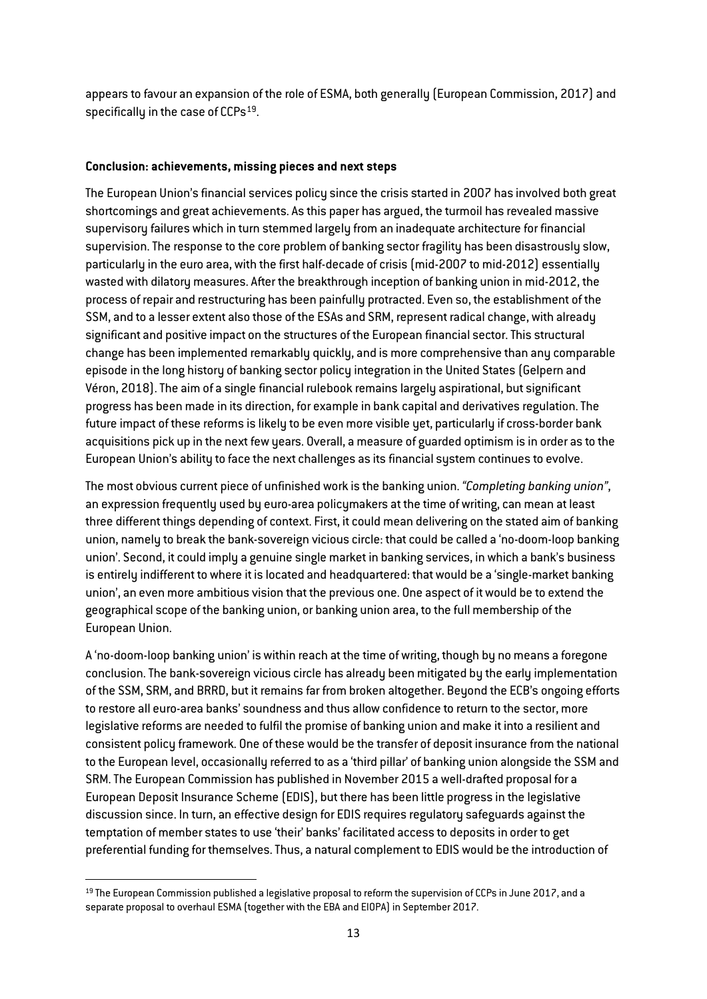appears to favour an expansion of the role of ESMA, both generally (European Commission, 2017) and specifically in the case of CCPs<sup>[19](#page-13-0)</sup>.

#### **Conclusion: achievements, missing pieces and next steps**

The European Union's financial services policy since the crisis started in 2007 has involved both great shortcomings and great achievements. As this paper has argued, the turmoil has revealed massive supervisory failures which in turn stemmed largely from an inadequate architecture for financial supervision. The response to the core problem of banking sector fragility has been disastrously slow, particularly in the euro area, with the first half-decade of crisis (mid-2007 to mid-2012) essentially wasted with dilatory measures. After the breakthrough inception of banking union in mid-2012, the process of repair and restructuring has been painfully protracted. Even so, the establishment of the SSM, and to a lesser extent also those of the ESAs and SRM, represent radical change, with already significant and positive impact on the structures of the European financial sector. This structural change has been implemented remarkably quickly, and is more comprehensive than any comparable episode in the long history of banking sector policy integration in the United States (Gelpern and Véron, 2018). The aim of a single financial rulebook remains largely aspirational, but significant progress has been made in its direction, for example in bank capital and derivatives regulation. The future impact of these reforms is likely to be even more visible yet, particularly if cross-border bank acquisitions pick up in the next few years. Overall, a measure of guarded optimism is in order as to the European Union's ability to face the next challenges as its financial system continues to evolve.

The most obvious current piece of unfinished work is the banking union. *"Completing banking union"*, an expression frequently used by euro-area policymakers at the time of writing, can mean at least three different things depending of context. First, it could mean delivering on the stated aim of banking union, namely to break the bank-sovereign vicious circle: that could be called a 'no-doom-loop banking union'. Second, it could imply a genuine single market in banking services, in which a bank's business is entirely indifferent to where it is located and headquartered: that would be a 'single-market banking union', an even more ambitious vision that the previous one. One aspect of it would be to extend the geographical scope of the banking union, or banking union area, to the full membership of the European Union.

A 'no-doom-loop banking union' is within reach at the time of writing, though by no means a foregone conclusion. The bank-sovereign vicious circle has already been mitigated by the early implementation of the SSM, SRM, and BRRD, but it remains far from broken altogether. Beyond the ECB's ongoing efforts to restore all euro-area banks' soundness and thus allow confidence to return to the sector, more legislative reforms are needed to fulfil the promise of banking union and make it into a resilient and consistent policy framework. One of these would be the transfer of deposit insurance from the national to the European level, occasionally referred to as a 'third pillar' of banking union alongside the SSM and SRM. The European Commission has published in November 2015 a well-drafted proposal for a European Deposit Insurance Scheme (EDIS), but there has been little progress in the legislative discussion since. In turn, an effective design for EDIS requires regulatory safeguards against the temptation of member states to use 'their' banks' facilitated access to deposits in order to get preferential funding for themselves. Thus, a natural complement to EDIS would be the introduction of

<span id="page-13-0"></span><sup>&</sup>lt;sup>19</sup> The European Commission published a legislative proposal to reform the supervision of CCPs in June 2017, and a separate proposal to overhaul ESMA (together with the EBA and EIOPA) in September 2017.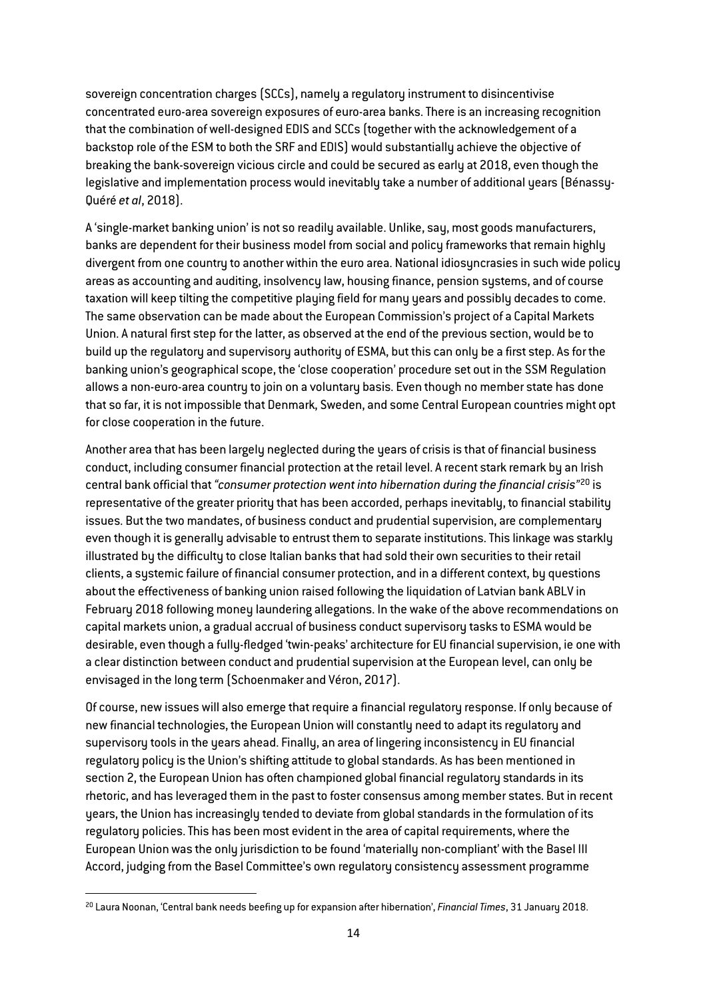sovereign concentration charges (SCCs), namely a regulatory instrument to disincentivise concentrated euro-area sovereign exposures of euro-area banks. There is an increasing recognition that the combination of well-designed EDIS and SCCs (together with the acknowledgement of a backstop role of the ESM to both the SRF and EDIS) would substantially achieve the objective of breaking the bank-sovereign vicious circle and could be secured as early at 2018, even though the legislative and implementation process would inevitably take a number of additional years (Bénassy-Quéré *et al*, 2018).

A 'single-market banking union' is not so readily available. Unlike, say, most goods manufacturers, banks are dependent for their business model from social and policy frameworks that remain highly divergent from one country to another within the euro area. National idiosyncrasies in such wide policy areas as accounting and auditing, insolvency law, housing finance, pension systems, and of course taxation will keep tilting the competitive playing field for many years and possibly decades to come. The same observation can be made about the European Commission's project of a Capital Markets Union. A natural first step for the latter, as observed at the end of the previous section, would be to build up the regulatory and supervisory authority of ESMA, but this can only be a first step. As for the banking union's geographical scope, the 'close cooperation' procedure set out in the SSM Regulation allows a non-euro-area country to join on a voluntary basis. Even though no member state has done that so far, it is not impossible that Denmark, Sweden, and some Central European countries might opt for close cooperation in the future.

Another area that has been largely neglected during the years of crisis is that of financial business conduct, including consumer financial protection at the retail level. A recent stark remark by an Irish central bank official that *"consumer protection went into hibernation during the financial crisis"*[20](#page-14-0) is representative of the greater priority that has been accorded, perhaps inevitably, to financial stability issues. But the two mandates, of business conduct and prudential supervision, are complementary even though it is generally advisable to entrust them to separate institutions. This linkage was starkly illustrated by the difficulty to close Italian banks that had sold their own securities to their retail clients, a systemic failure of financial consumer protection, and in a different context, by questions about the effectiveness of banking union raised following the liquidation of Latvian bank ABLV in February 2018 following money laundering allegations. In the wake of the above recommendations on capital markets union, a gradual accrual of business conduct supervisory tasks to ESMA would be desirable, even though a fully-fledged 'twin-peaks' architecture for EU financial supervision, ie one with a clear distinction between conduct and prudential supervision at the European level, can only be envisaged in the long term (Schoenmaker and Véron, 2017).

Of course, new issues will also emerge that require a financial regulatory response. If only because of new financial technologies, the European Union will constantly need to adapt its regulatory and supervisory tools in the years ahead. Finally, an area of lingering inconsistency in EU financial regulatory policy is the Union's shifting attitude to global standards. As has been mentioned in section 2, the European Union has often championed global financial regulatory standards in its rhetoric, and has leveraged them in the past to foster consensus among member states. But in recent years, the Union has increasingly tended to deviate from global standards in the formulation of its regulatory policies. This has been most evident in the area of capital requirements, where the European Union was the only jurisdiction to be found 'materially non-compliant' with the Basel III Accord, judging from the Basel Committee's own regulatory consistency assessment programme

**.** 

<span id="page-14-0"></span><sup>20</sup> Laura Noonan, 'Central bank needs beefing up for expansion after hibernation', *Financial Times*, 31 January 2018.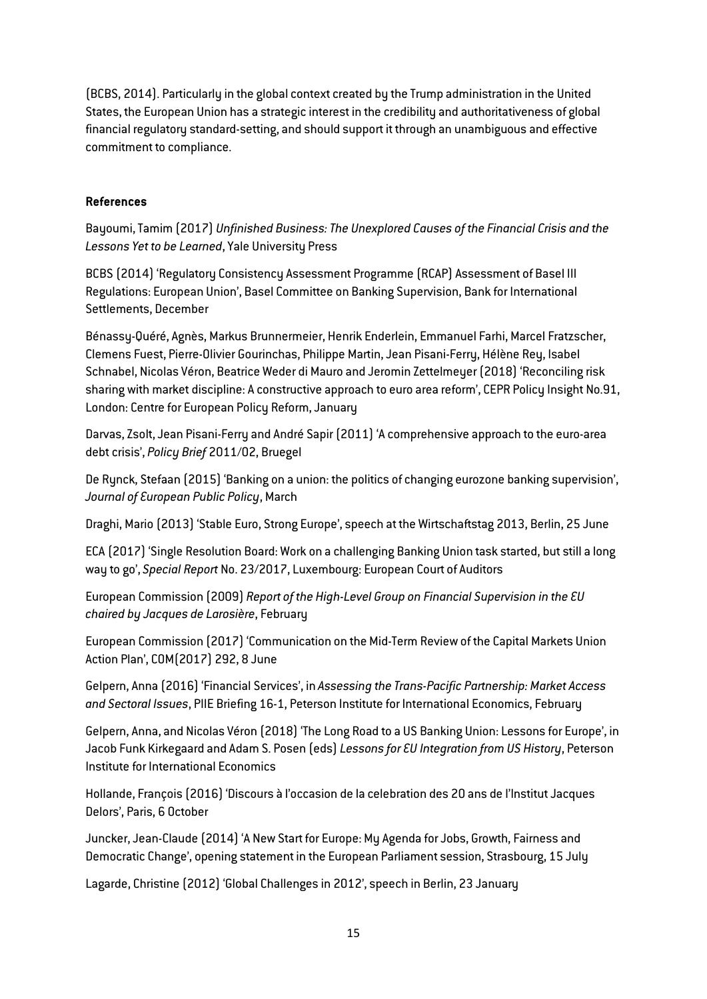(BCBS, 2014). Particularly in the global context created by the Trump administration in the United States, the European Union has a strategic interest in the credibility and authoritativeness of global financial regulatory standard-setting, and should support it through an unambiguous and effective commitment to compliance.

## **References**

Bayoumi, Tamim (2017) *Unfinished Business: The Unexplored Causes of the Financial Crisis and the Lessons Yet to be Learned*, Yale University Press

BCBS (2014) 'Regulatory Consistency Assessment Programme (RCAP) Assessment of Basel III Regulations: European Union', Basel Committee on Banking Supervision, Bank for International Settlements, December

Bénassy-Quéré, Agnès, Markus Brunnermeier, Henrik Enderlein, Emmanuel Farhi, Marcel Fratzscher, Clemens Fuest, Pierre-Olivier Gourinchas, Philippe Martin, Jean Pisani-Ferry, Hélène Rey, Isabel Schnabel, Nicolas Véron, Beatrice Weder di Mauro and Jeromin Zettelmeyer (2018) 'Reconciling risk sharing with market discipline: A constructive approach to euro area reform', CEPR Policy Insight No.91, London: Centre for European Policy Reform, January

Darvas, Zsolt, Jean Pisani-Ferry and André Sapir (2011) 'A comprehensive approach to the euro-area debt crisis', *Policy Brief* 2011/02, Bruegel

De Rynck, Stefaan (2015) 'Banking on a union: the politics of changing eurozone banking supervision', *Journal of European Public Policy*, March

Draghi, Mario (2013) 'Stable Euro, Strong Europe', speech at the Wirtschaftstag 2013, Berlin, 25 June

ECA (2017) 'Single Resolution Board: Work on a challenging Banking Union task started, but still a long way to go', *Special Report* No. 23/2017, Luxembourg: European Court of Auditors

European Commission (2009) *Report of the High-Level Group on Financial Supervision in the EU chaired by Jacques de Larosière*, February

European Commission (2017) 'Communication on the Mid-Term Review of the Capital Markets Union Action Plan', COM(2017) 292, 8 June

Gelpern, Anna (2016) 'Financial Services', in *Assessing the Trans-Pacific Partnership: Market Access and Sectoral Issues*, PIIE Briefing 16-1, Peterson Institute for International Economics, February

Gelpern, Anna, and Nicolas Véron (2018) 'The Long Road to a US Banking Union: Lessons for Europe', in Jacob Funk Kirkegaard and Adam S. Posen (eds) *Lessons for EU Integration from US History*, Peterson Institute for International Economics

Hollande, François (2016) 'Discours à l'occasion de la celebration des 20 ans de l'Institut Jacques Delors', Paris, 6 October

Juncker, Jean-Claude (2014) 'A New Start for Europe: My Agenda for Jobs, Growth, Fairness and Democratic Change', opening statement in the European Parliament session, Strasbourg, 15 July

Lagarde, Christine (2012) 'Global Challenges in 2012', speech in Berlin, 23 January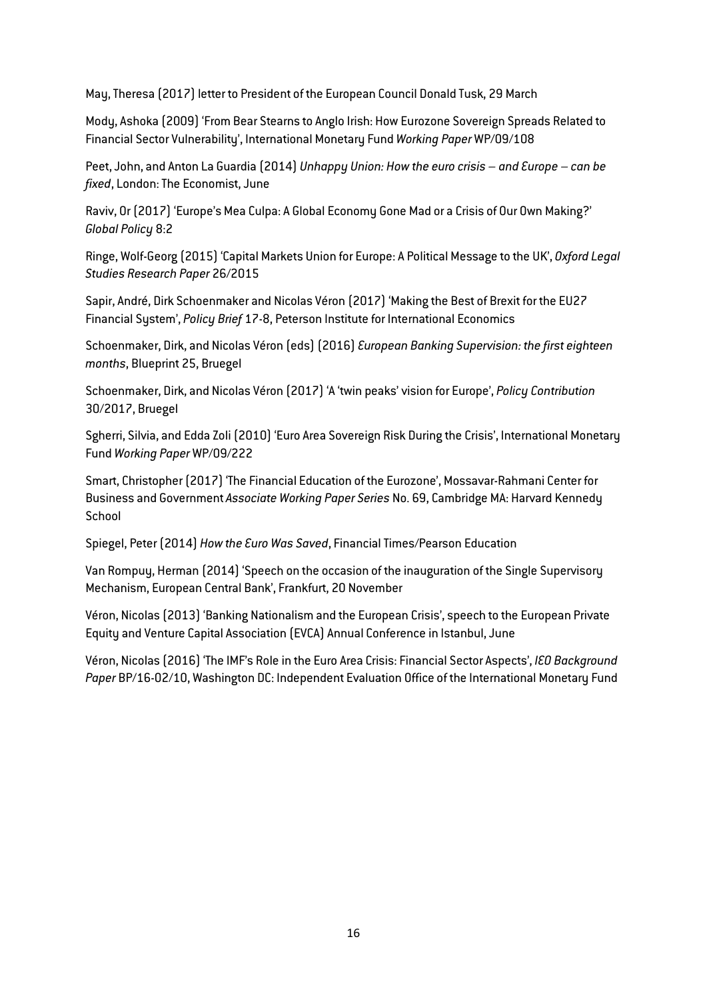May, Theresa (2017) letter to President of the European Council Donald Tusk, 29 March

Mody, Ashoka (2009) 'From Bear Stearns to Anglo Irish: How Eurozone Sovereign Spreads Related to Financial Sector Vulnerability', International Monetary Fund *Working Paper* WP/09/108

Peet, John, and Anton La Guardia (2014) *Unhappy Union: How the euro crisis – and Europe – can be fixed*, London: The Economist, June

Raviv, Or (2017) 'Europe's Mea Culpa: A Global Economy Gone Mad or a Crisis of Our Own Making?' *Global Policy* 8:2

Ringe, Wolf-Georg (2015) 'Capital Markets Union for Europe: A Political Message to the UK', *Oxford Legal Studies Research Paper* 26/2015

Sapir, André, Dirk Schoenmaker and Nicolas Véron (2017) 'Making the Best of Brexit for the EU27 Financial System', *Policy Brief* 17-8, Peterson Institute for International Economics

Schoenmaker, Dirk, and Nicolas Véron (eds) (2016) *European Banking Supervision: the first eighteen months*, Blueprint 25, Bruegel

Schoenmaker, Dirk, and Nicolas Véron (2017) 'A 'twin peaks' vision for Europe', *Policy Contribution* 30/2017, Bruegel

Sgherri, Silvia, and Edda Zoli (2010) 'Euro Area Sovereign Risk During the Crisis', International Monetary Fund *Working Paper* WP/09/222

Smart, Christopher (2017) 'The Financial Education of the Eurozone', Mossavar-Rahmani Center for Business and Government *Associate Working Paper Series* No. 69, Cambridge MA: Harvard Kennedy **School** 

Spiegel, Peter (2014) *How the Euro Was Saved*, Financial Times/Pearson Education

Van Rompuy, Herman (2014) 'Speech on the occasion of the inauguration of the Single Supervisory Mechanism, European Central Bank', Frankfurt, 20 November

Véron, Nicolas (2013) 'Banking Nationalism and the European Crisis', speech to the European Private Equity and Venture Capital Association (EVCA) Annual Conference in Istanbul, June

Véron, Nicolas (2016) 'The IMF's Role in the Euro Area Crisis: Financial Sector Aspects', *IEO Background Paper* BP/16-02/10, Washington DC: Independent Evaluation Office of the International Monetary Fund